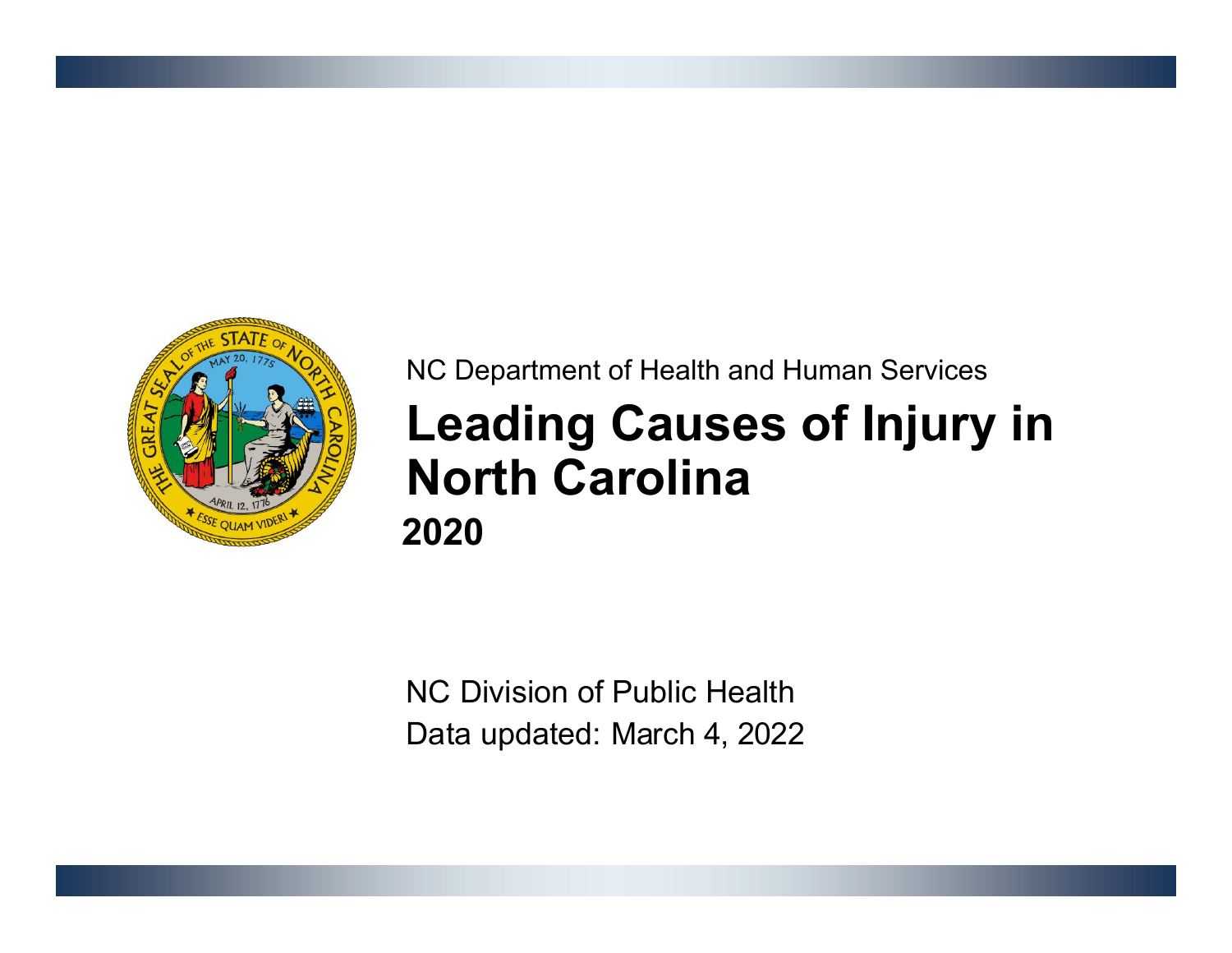

## NC Department of Health and Human Services **Leading Causes of Injury in North Carolina2020**

NC Division of Public HealthData updated: March 4, 2022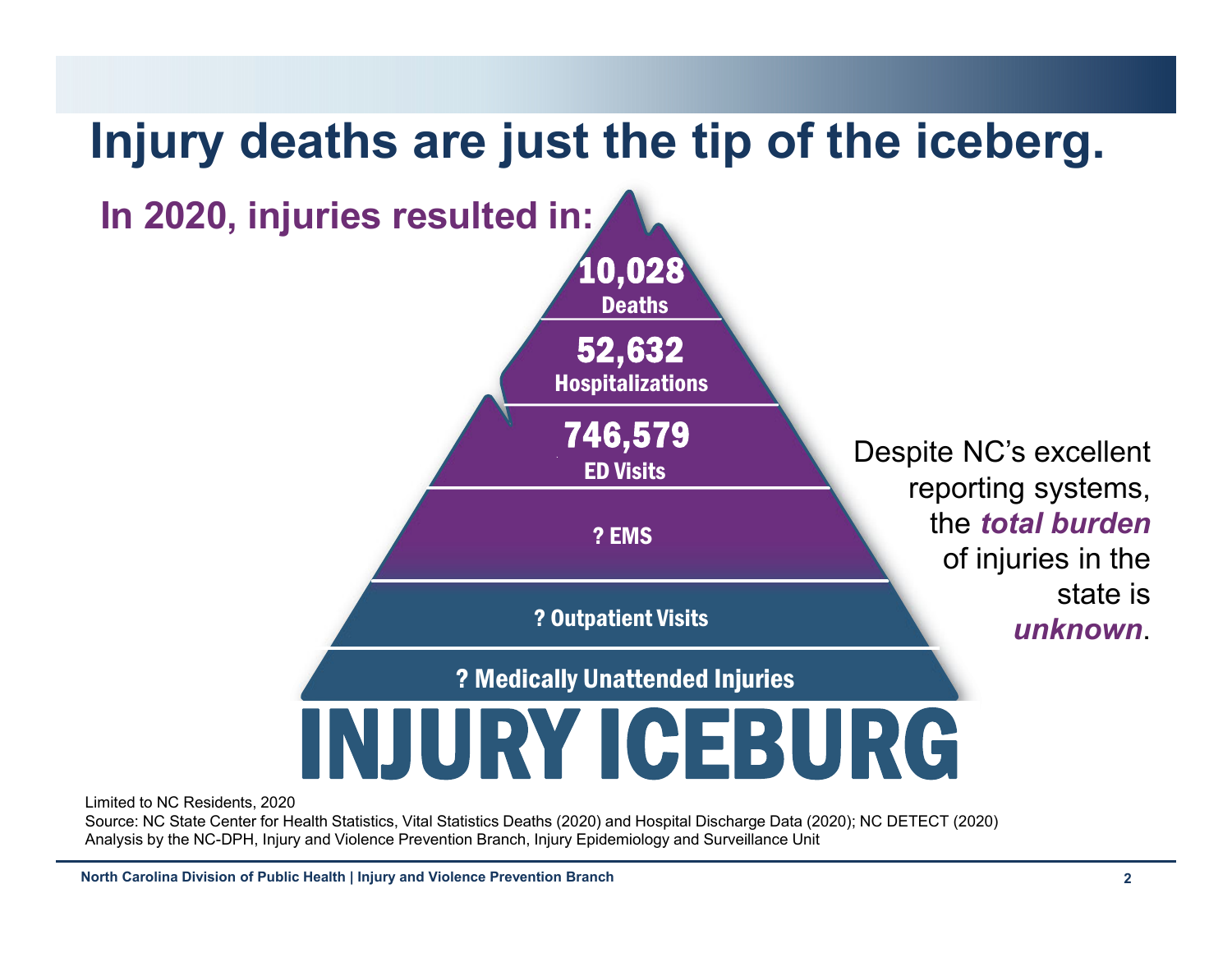

Limited to NC Residents, 2020

Source: NC State Center for Health Statistics, Vital Statistics Deaths (2020) and Hospital Discharge Data (2020); NC DETECT (2020) Analysis by the NC-DPH, Injury and Violence Prevention Branch, Injury Epidemiology and Surveillance Unit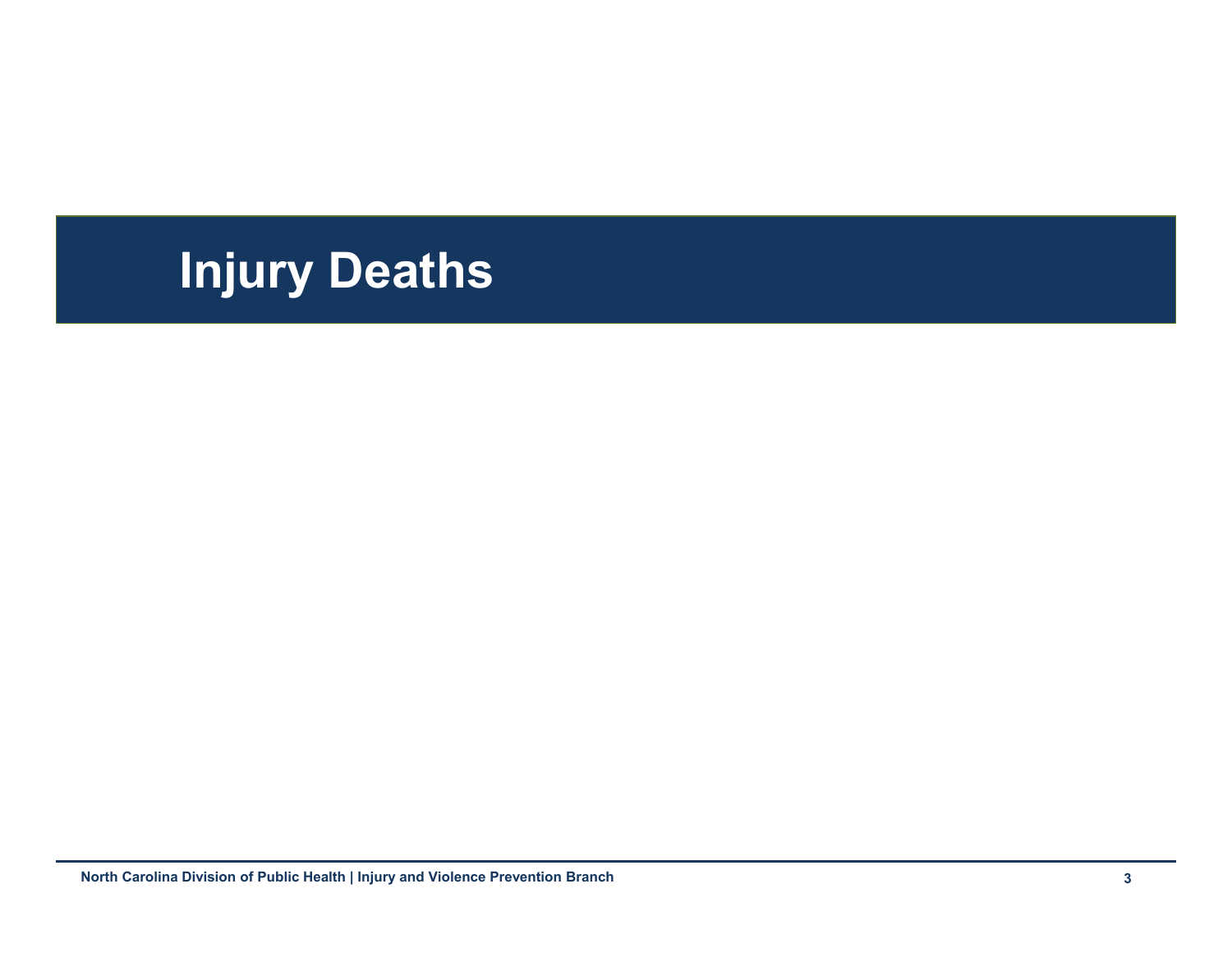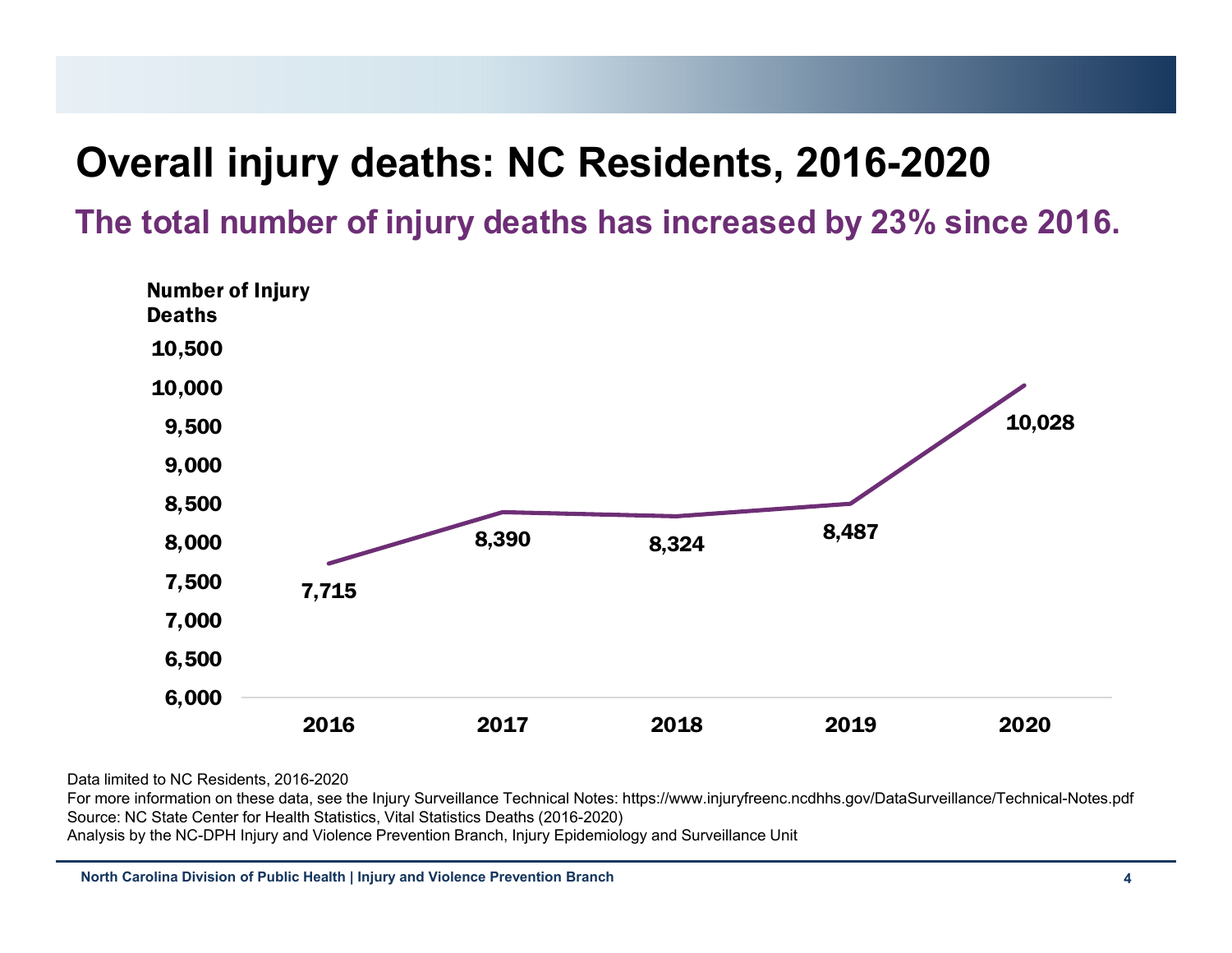#### **Overall injury deaths: NC Residents, 2016-2020**

**The total number of injury deaths has increased by 23% since 2016.**



Data limited to NC Residents, 2016-2020

For more information on these data, see the Injury Surveillance Technical Notes: https://www.injuryfreenc.ncdhhs.gov/DataSurveillance/Technical-Notes.pdf Source: NC State Center for Health Statistics, Vital Statistics Deaths (2016-2020) Analysis by the NC-DPH Injury and Violence Prevention Branch, Injury Epidemiology and Surveillance Unit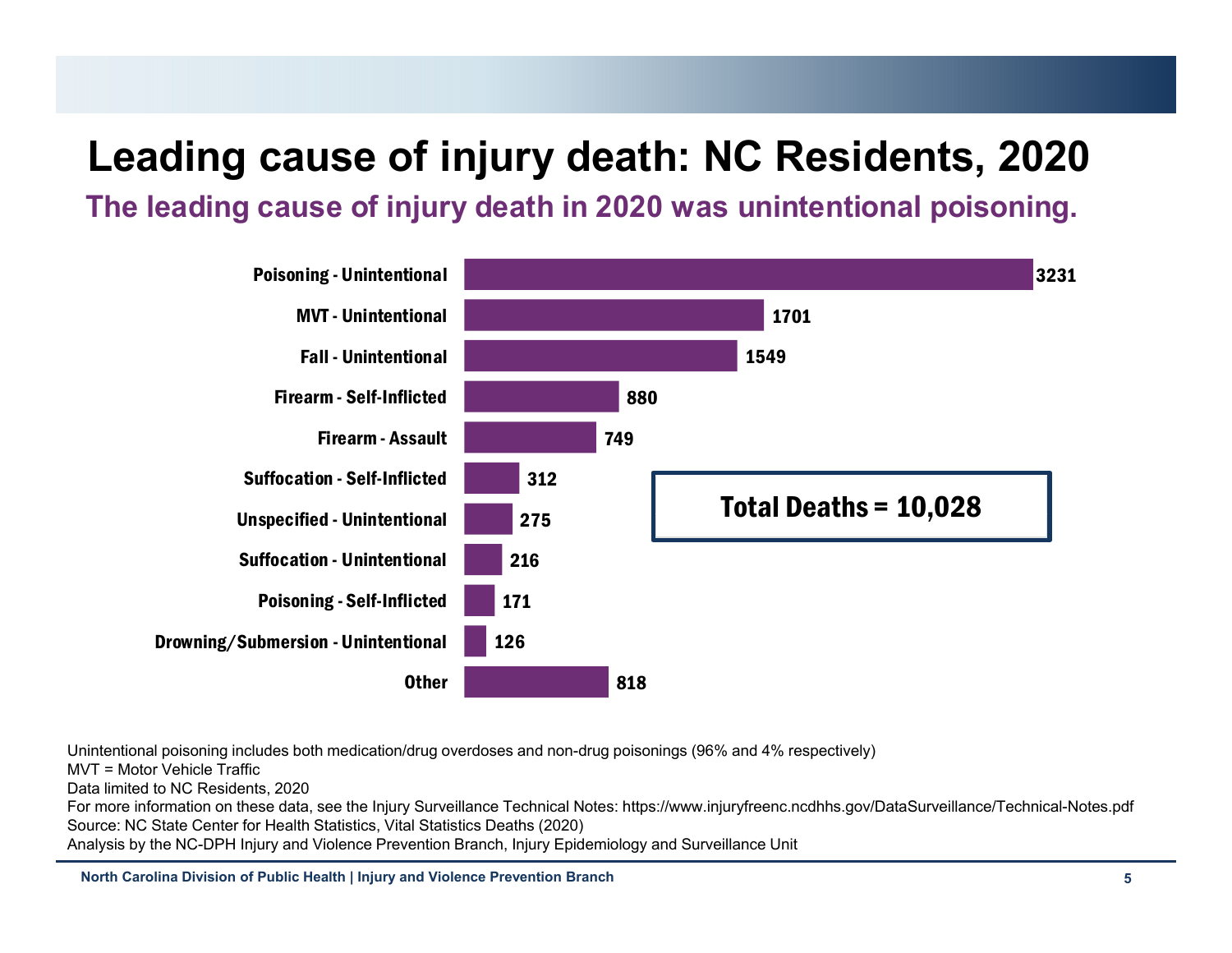# **Leading cause of injury death: NC Residents, 2020**

**The leading cause of injury death in 2020 was unintentional poisoning.**



Unintentional poisoning includes both medication/drug overdoses and non-drug poisonings (96% and 4% respectively)

MVT = Motor Vehicle Traffic

Data limited to NC Residents, 2020

For more information on these data, see the Injury Surveillance Technical Notes: https://www.injuryfreenc.ncdhhs.gov/DataSurveillance/Technical-Notes.pdf Source: NC State Center for Health Statistics, Vital Statistics Deaths (2020)

Analysis by the NC-DPH Injury and Violence Prevention Branch, Injury Epidemiology and Surveillance Unit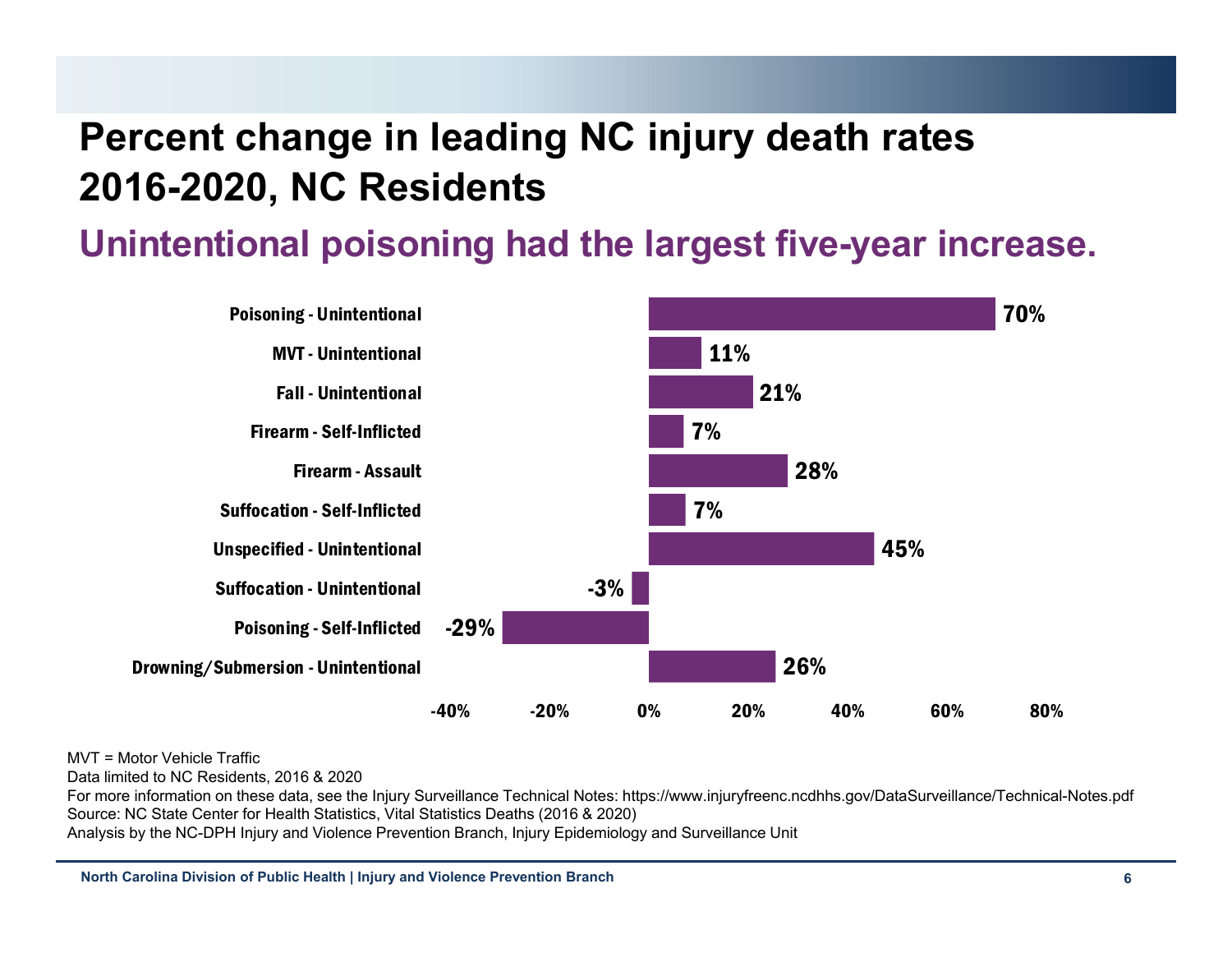#### **Percent change in leading NC injury death rates 2016-2020, NC Residents**

**Unintentional poisoning had the largest five-year increase.**



MVT = Motor Vehicle Traffic

Data limited to NC Residents, 2016 & 2020

For more information on these data, see the Injury Surveillance Technical Notes: https://www.injuryfreenc.ncdhhs.gov/DataSurveillance/Technical-Notes.pdf Source: NC State Center for Health Statistics, Vital Statistics Deaths (2016 & 2020)

Analysis by the NC-DPH Injury and Violence Prevention Branch, Injury Epidemiology and Surveillance Unit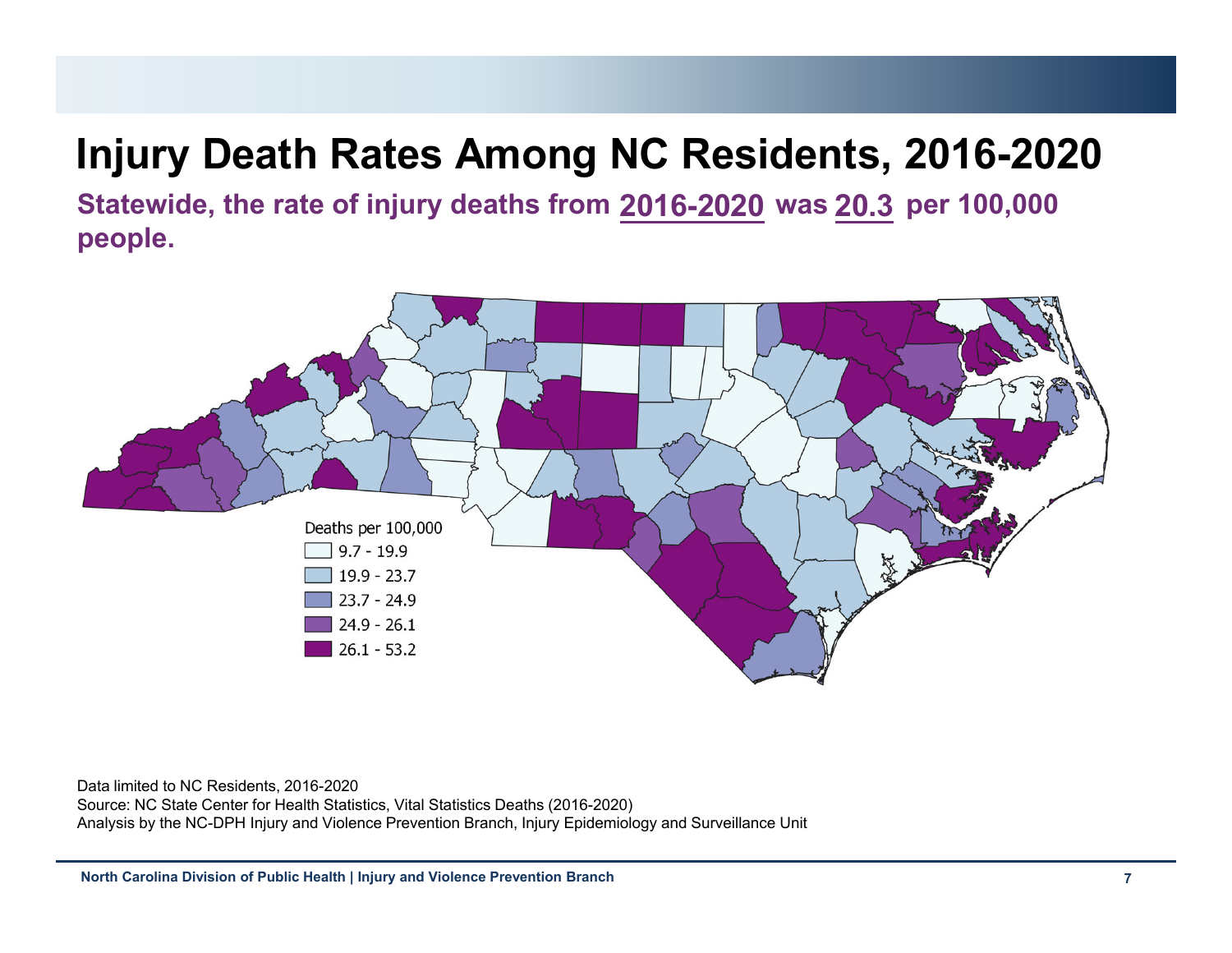## **Injury Death Rates Among NC Residents, 2016-2020**

**Statewide, the rate of injury deaths from ####-#### was #### per 100,000 2016-2020 20.3people.**



Data limited to NC Residents, 2016-2020

Source: NC State Center for Health Statistics, Vital Statistics Deaths (2016-2020) Analysis by the NC-DPH Injury and Violence Prevention Branch, Injury Epidemiology and Surveillance Unit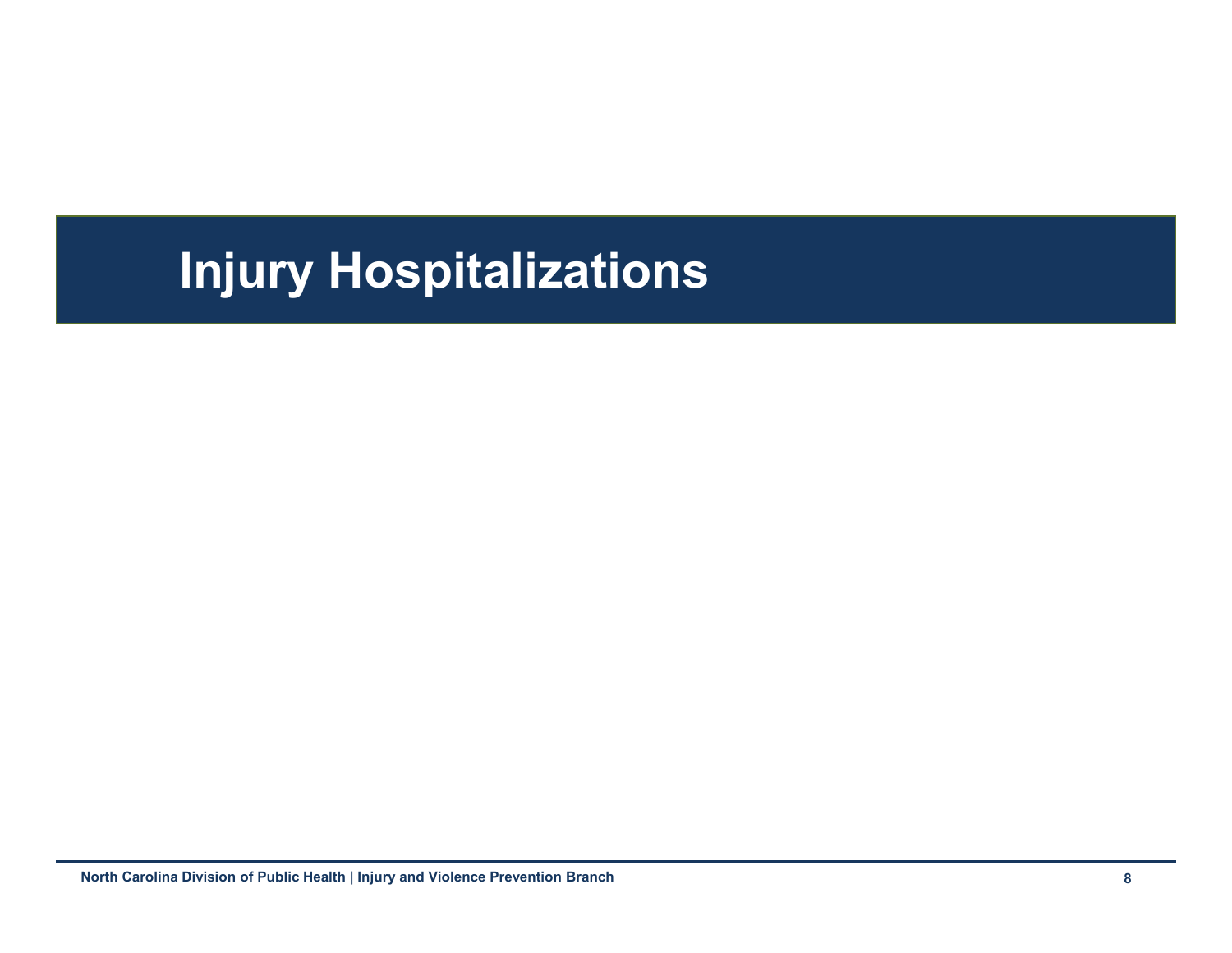# **Injury Hospitalizations**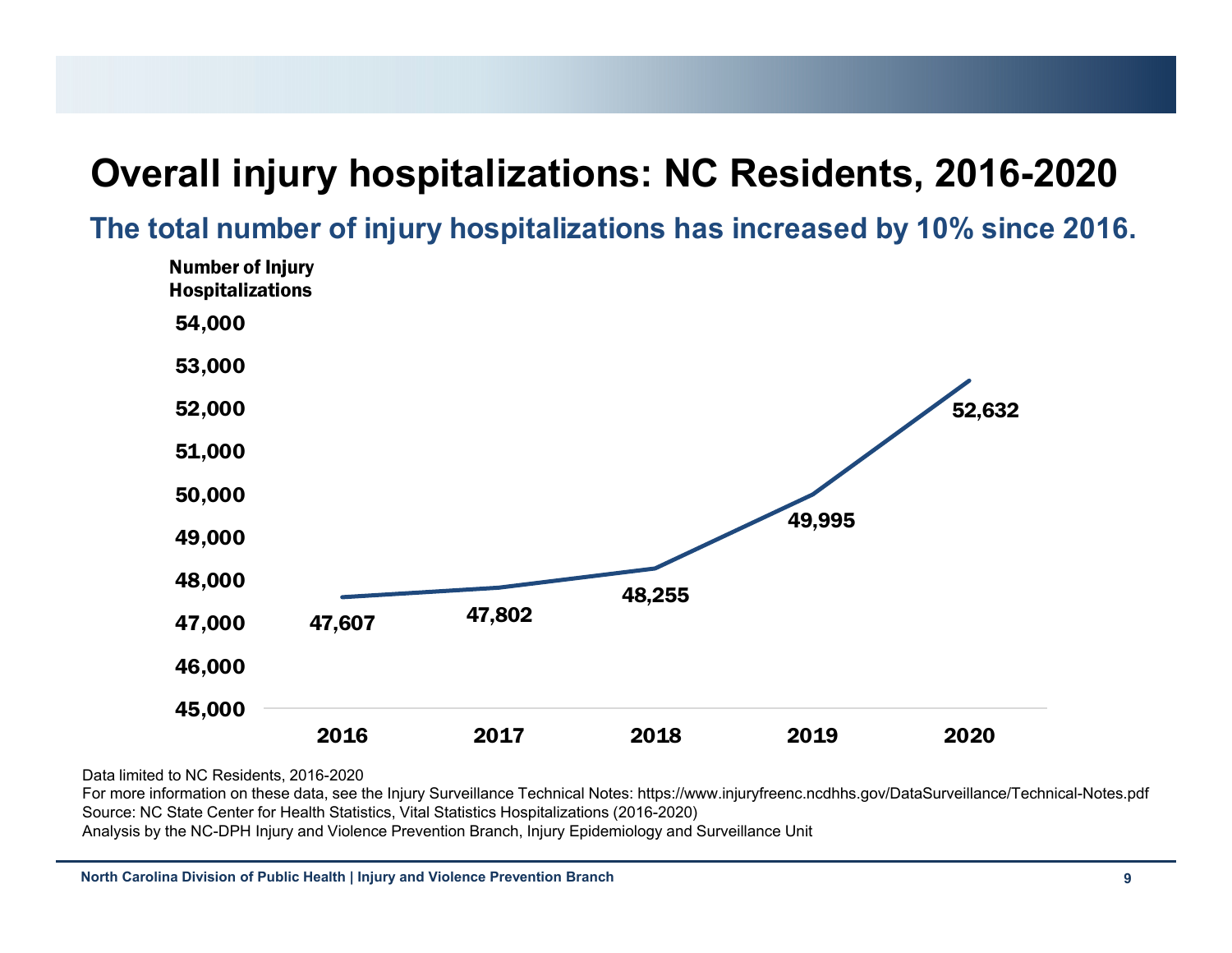#### **Overall injury hospitalizations: NC Residents, 2016-2020**

**The total number of injury hospitalizations has increased by 10% since 2016.**



Data limited to NC Residents, 2016-2020

For more information on these data, see the Injury Surveillance Technical Notes: https://www.injuryfreenc.ncdhhs.gov/DataSurveillance/Technical-Notes.pdf Source: NC State Center for Health Statistics, Vital Statistics Hospitalizations (2016-2020) Analysis by the NC-DPH Injury and Violence Prevention Branch, Injury Epidemiology and Surveillance Unit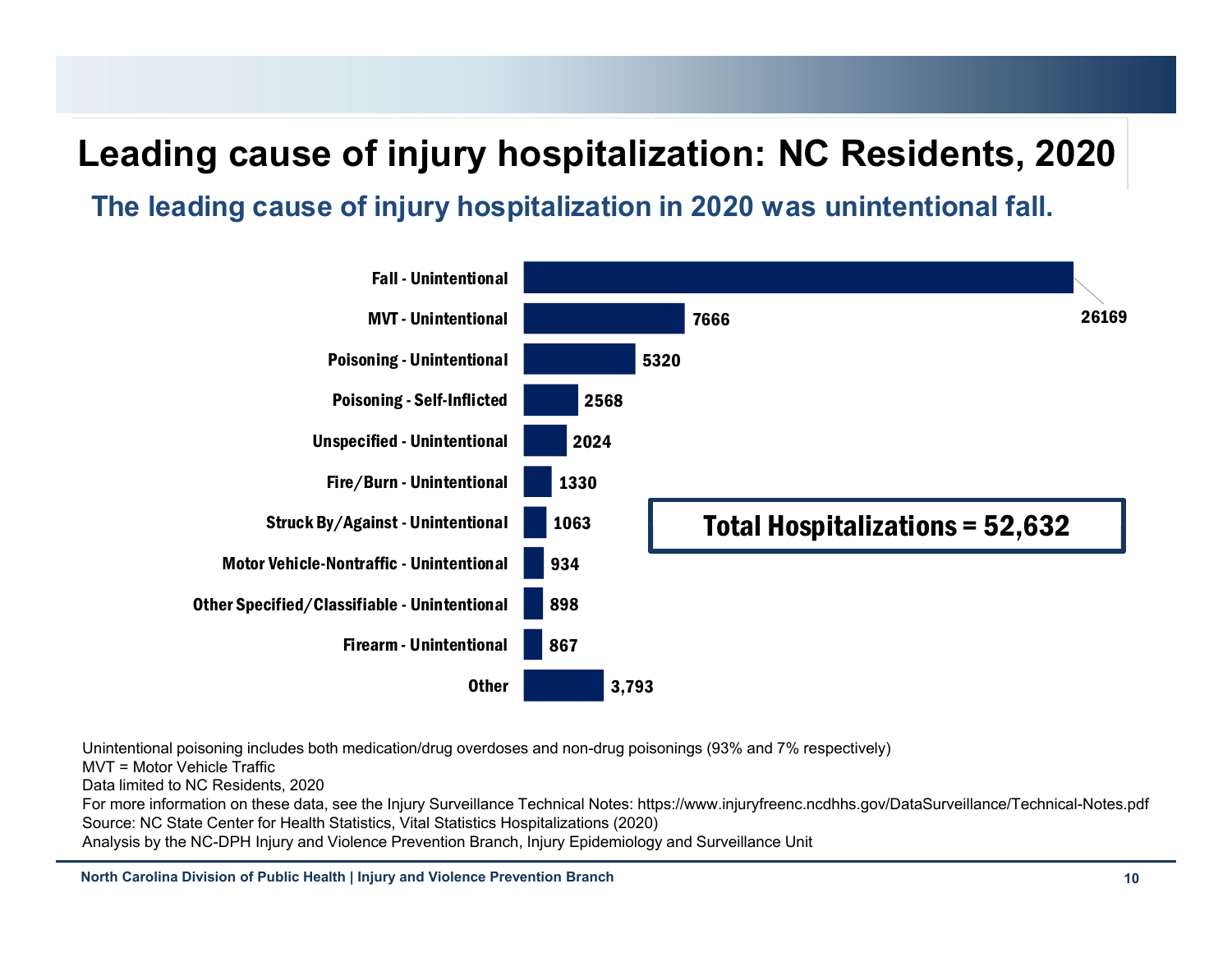#### **Leading cause of injury hospitalization: NC Residents, 2020**

**The leading cause of injury hospitalization in 2020 was unintentional fall.**



Unintentional poisoning includes both medication/drug overdoses and non-drug poisonings (93% and 7% respectively)

MVT = Motor Vehicle Traffic

Data limited to NC Residents, 2020

For more information on these data, see the Injury Surveillance Technical Notes: https://www.injuryfreenc.ncdhhs.gov/DataSurveillance/Technical-Notes.pdf Source: NC State Center for Health Statistics, Vital Statistics Hospitalizations (2020)

Analysis by the NC-DPH Injury and Violence Prevention Branch, Injury Epidemiology and Surveillance Unit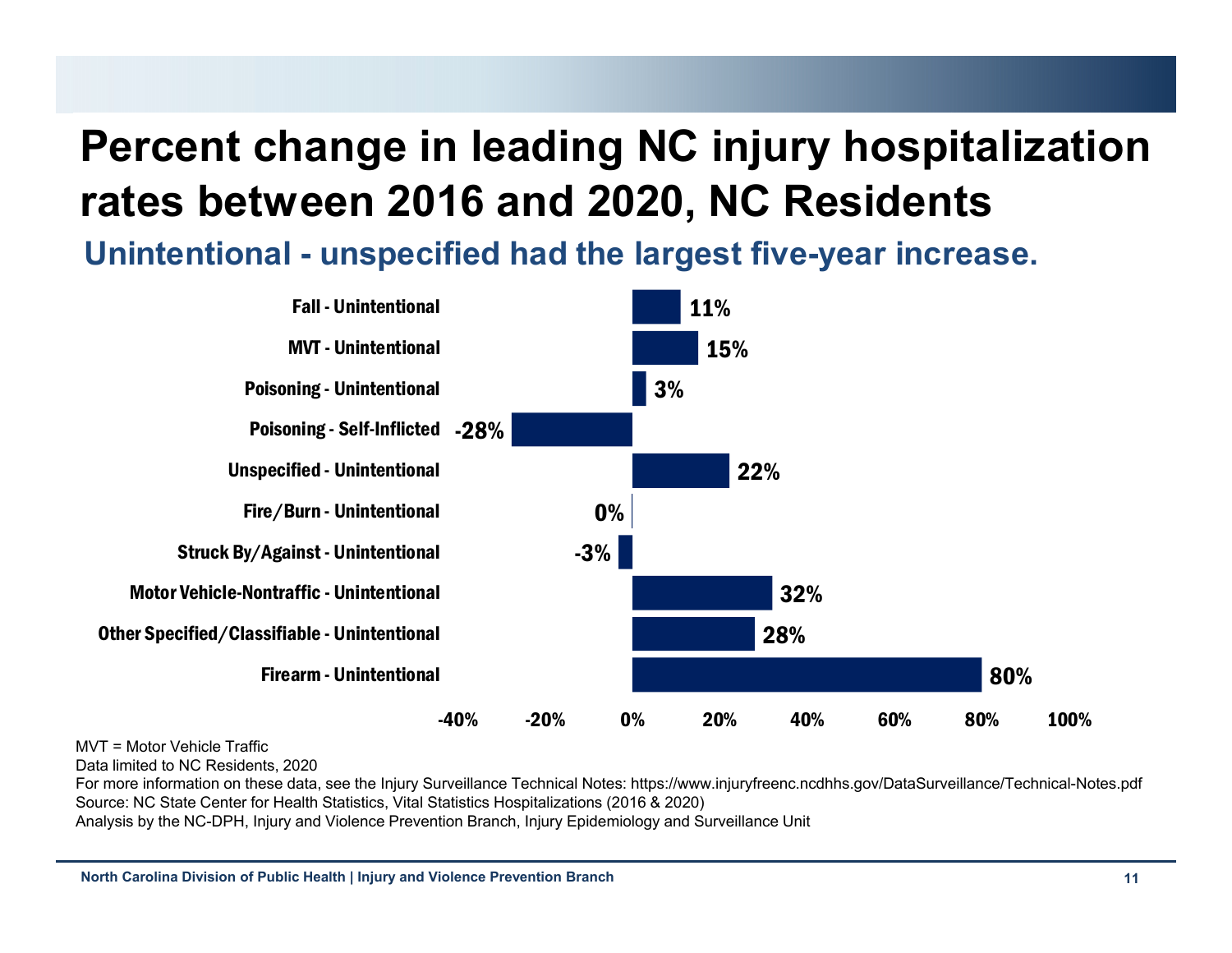# **Percent change in leading NC injury hospitalization rates between 2016 and 2020, NC Residents**

**Unintentional - unspecified had the largest five-year increase.**



MVT = Motor Vehicle Traffic

Data limited to NC Residents, 2020

For more information on these data, see the Injury Surveillance Technical Notes: https://www.injuryfreenc.ncdhhs.gov/DataSurveillance/Technical-Notes.pdf Source: NC State Center for Health Statistics, Vital Statistics Hospitalizations (2016 & 2020)

Analysis by the NC-DPH, Injury and Violence Prevention Branch, Injury Epidemiology and Surveillance Unit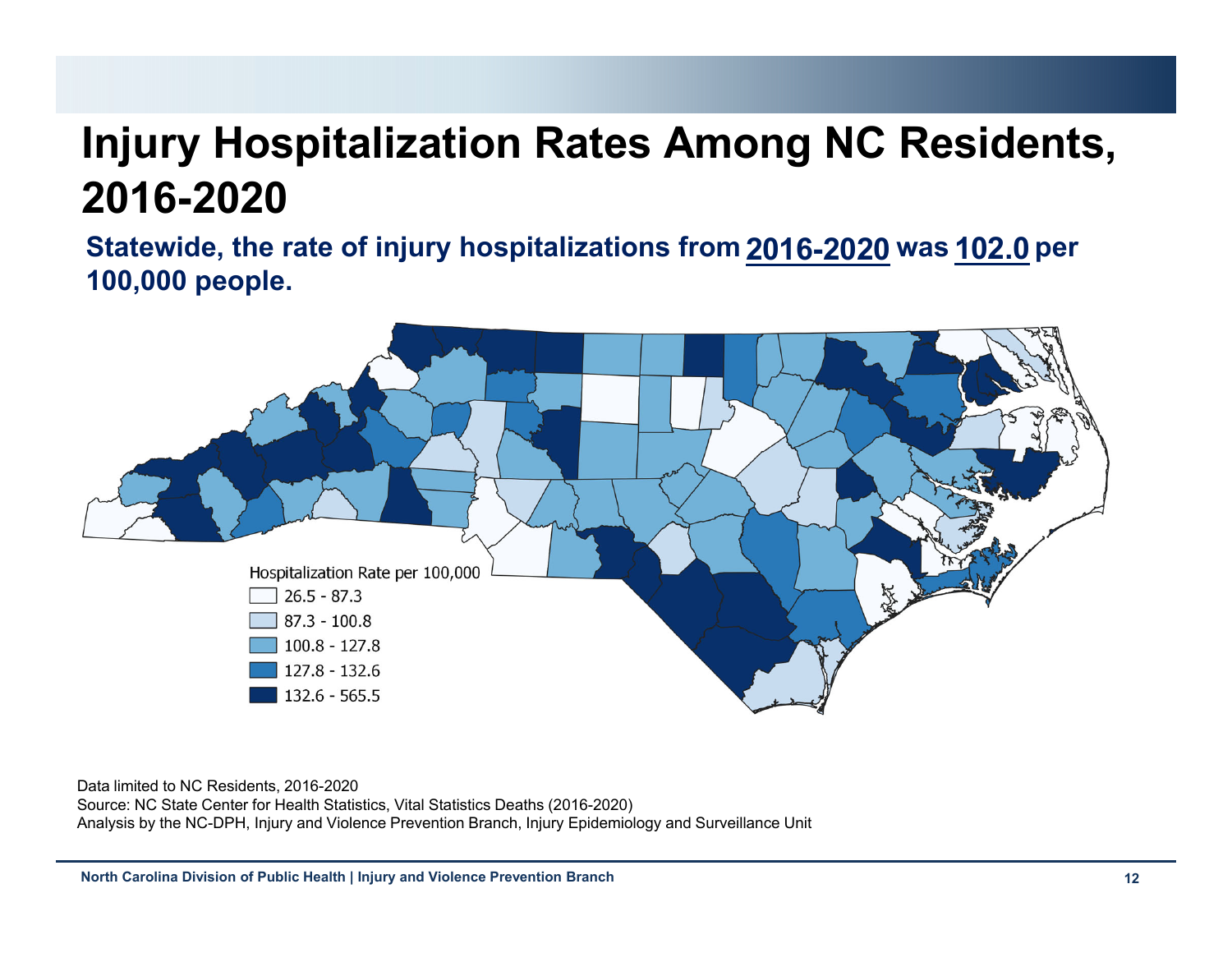# **Injury Hospitalization Rates Among NC Residents, 2016-2020**

**Statewide, the rate of injury hospitalizations from 2016-2020 was 102.0 per 100,000 people.**



Data limited to NC Residents, 2016-2020

Source: NC State Center for Health Statistics, Vital Statistics Deaths (2016-2020) Analysis by the NC-DPH, Injury and Violence Prevention Branch, Injury Epidemiology and Surveillance Unit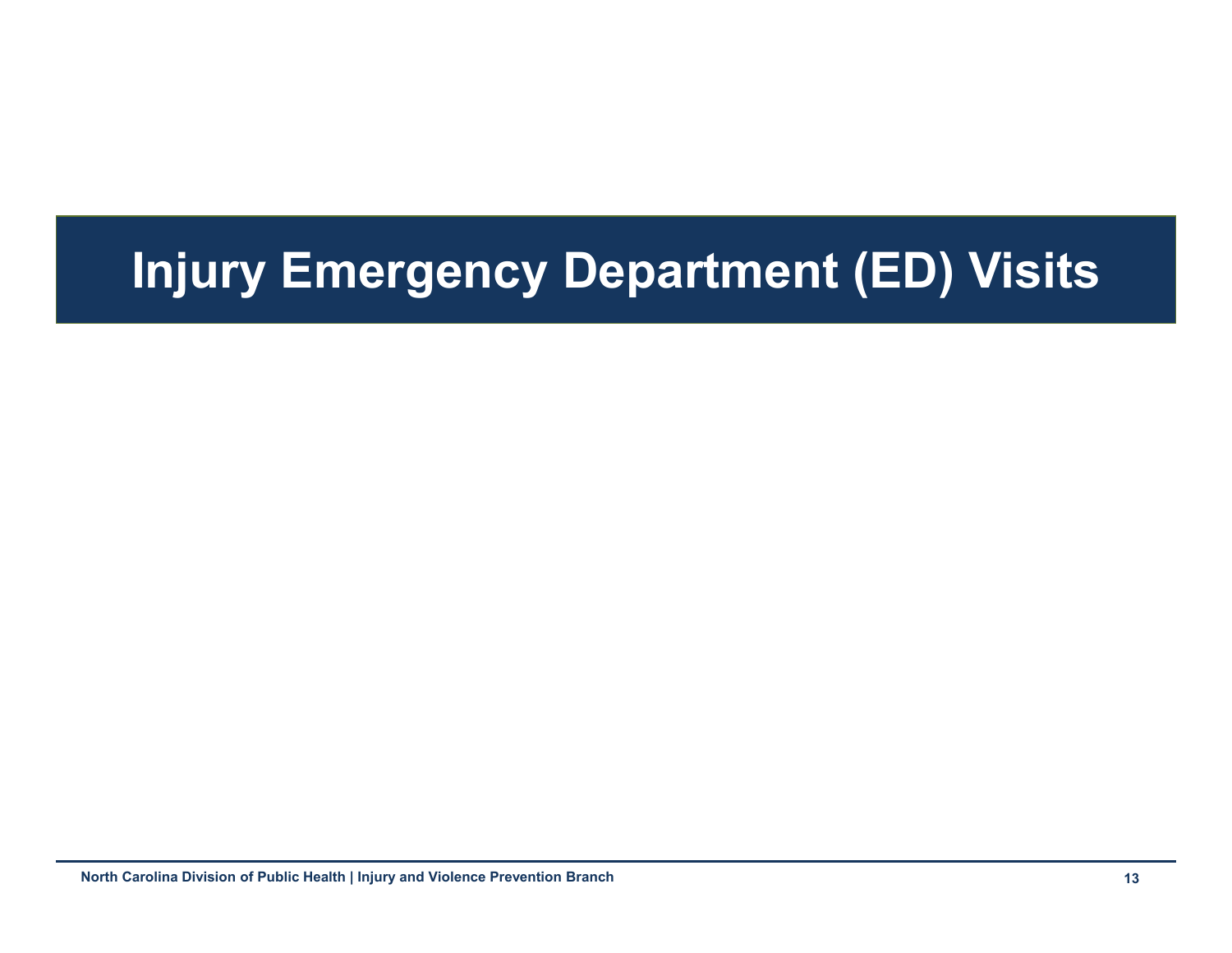# **Injury Emergency Department (ED) Visits**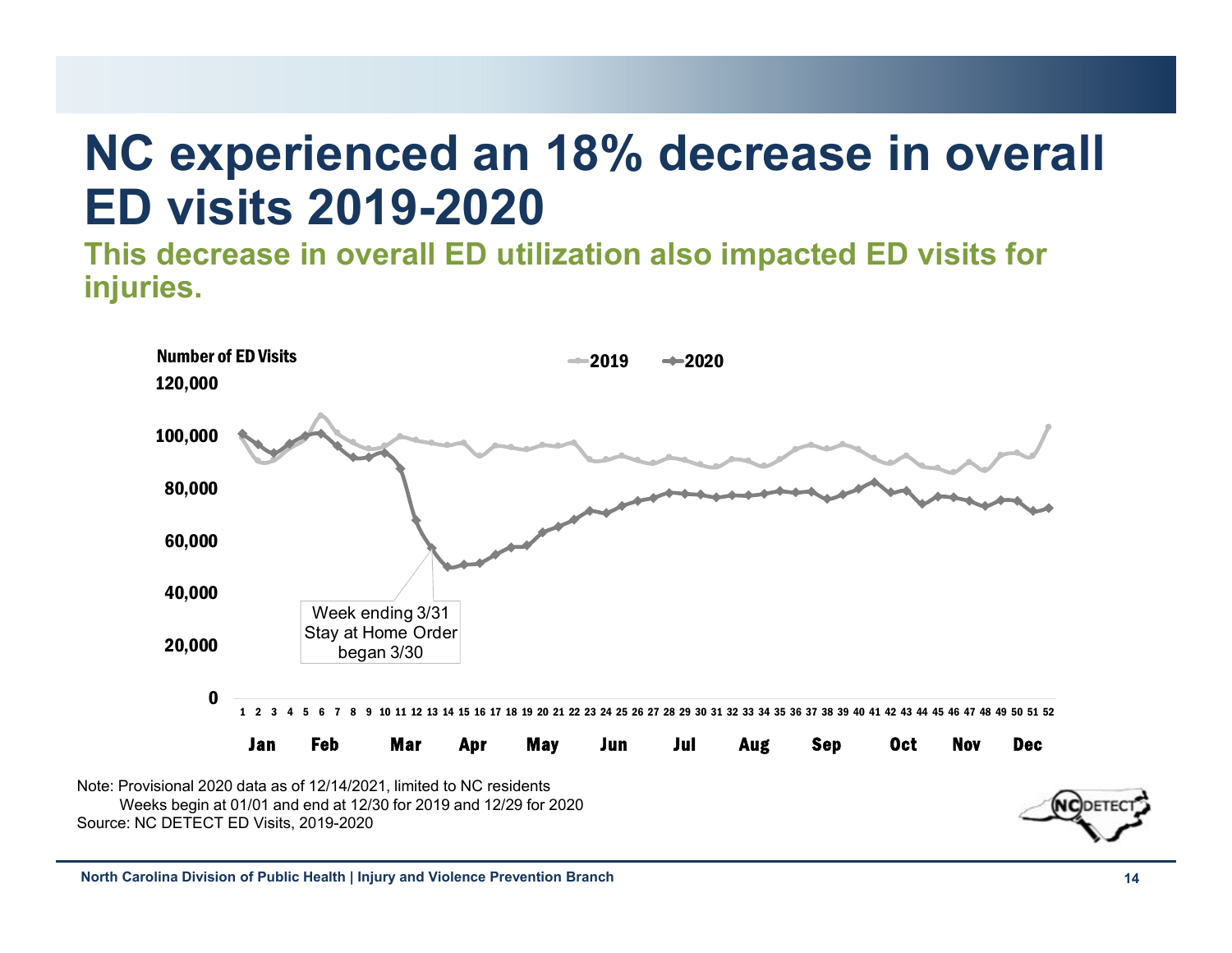# **NC experienced an 18% decrease in overall ED visits 2019-2020**

**This decrease in overall ED utilization also impacted ED visits for injuries.**



Weeks begin at 01/01 and end at 12/30 for 2019 and 12/29 for 2020 Source: NC DETECT ED Visits, 2019-2020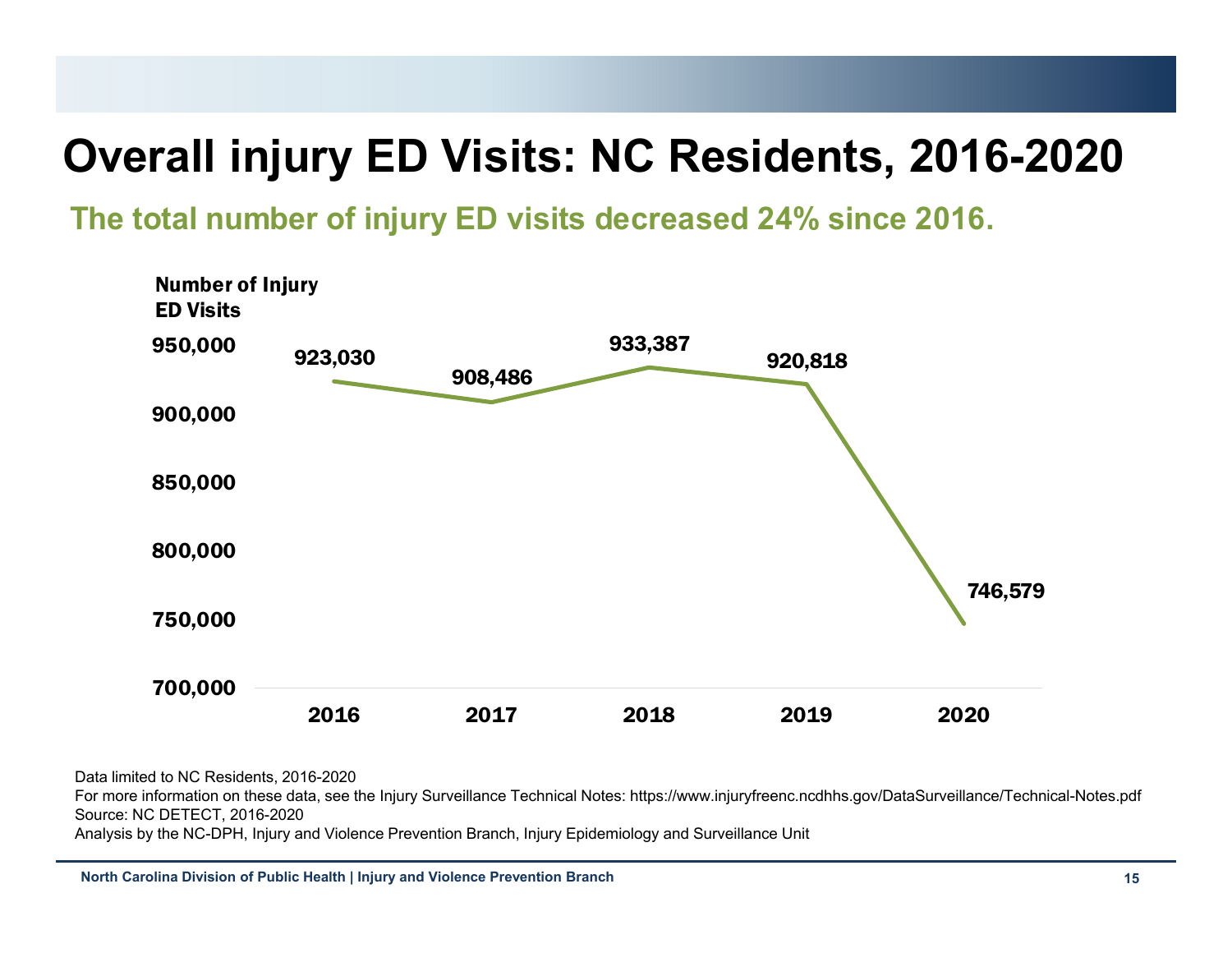# **Overall injury ED Visits: NC Residents, 2016-2020**

**The total number of injury ED visits decreased 24% since 2016.**

![](_page_14_Figure_2.jpeg)

Data limited to NC Residents, 2016-2020

For more information on these data, see the Injury Surveillance Technical Notes: https://www.injuryfreenc.ncdhhs.gov/DataSurveillance/Technical-Notes.pdf Source: NC DETECT, 2016-2020

Analysis by the NC-DPH, Injury and Violence Prevention Branch, Injury Epidemiology and Surveillance Unit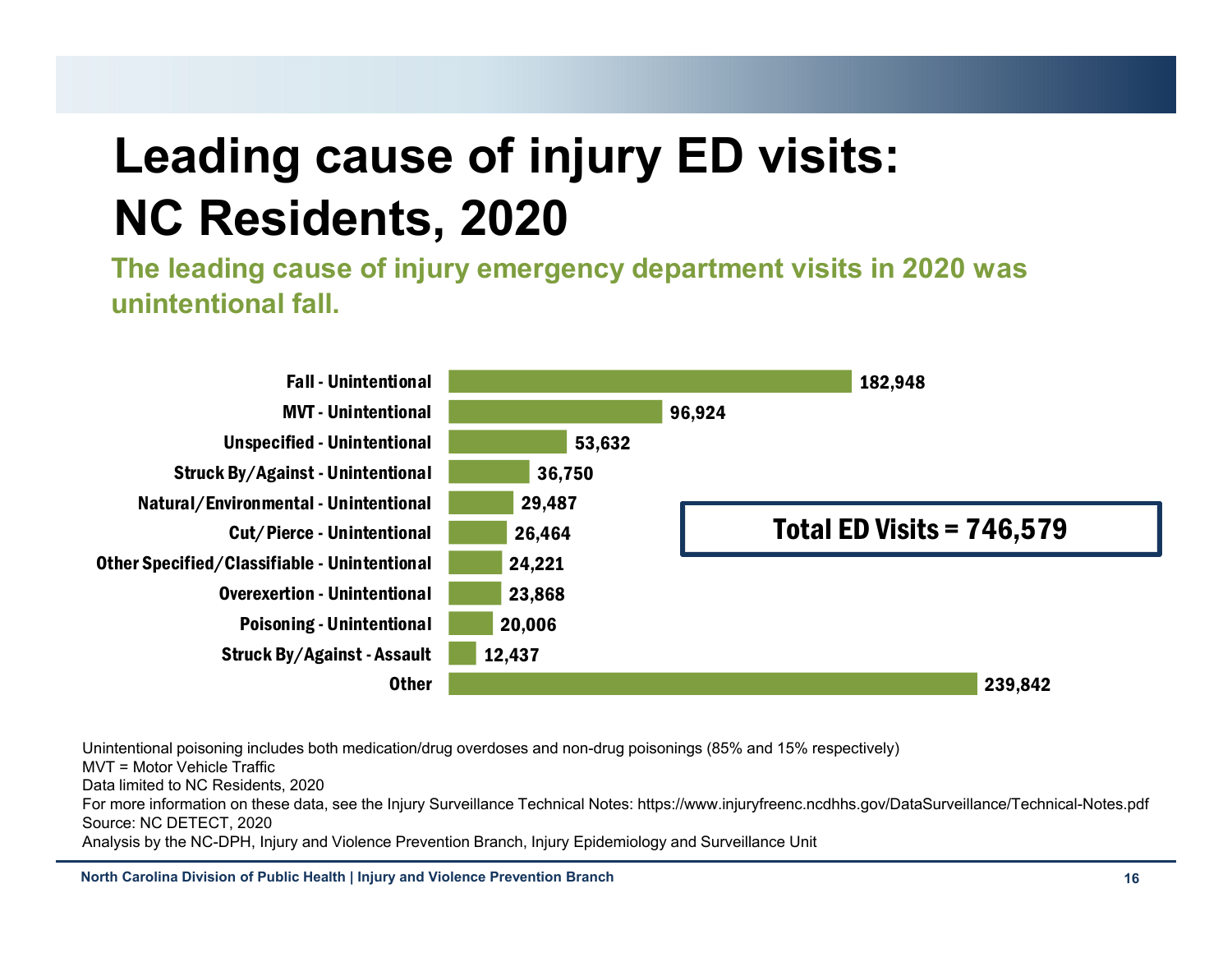# **Leading cause of injury ED visits: NC Residents, 2020**

**The leading cause of injury emergency department visits in 2020 was unintentional fall.**

![](_page_15_Figure_2.jpeg)

Unintentional poisoning includes both medication/drug overdoses and non-drug poisonings (85% and 15% respectively) MVT = Motor Vehicle TrafficData limited to NC Residents, 2020 For more information on these data, see the Injury Surveillance Technical Notes: https://www.injuryfreenc.ncdhhs.gov/DataSurveillance/Technical-Notes.pdf Source: NC DETECT, 2020 Analysis by the NC-DPH, Injury and Violence Prevention Branch, Injury Epidemiology and Surveillance Unit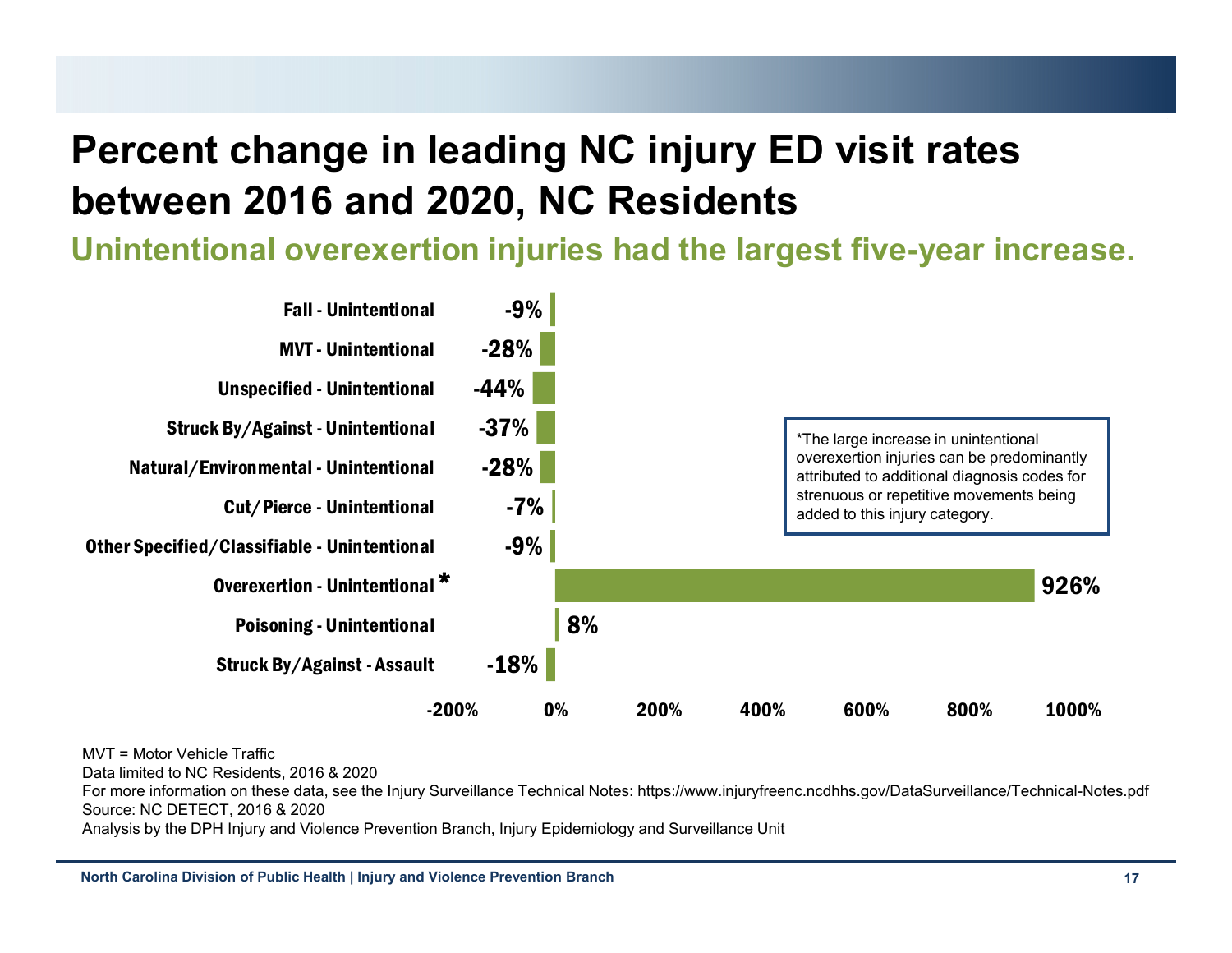## **Percent change in leading NC injury ED visit rates between 2016 and 2020, NC Residents**

**Unintentional overexertion injuries had the largest five-year increase.**

![](_page_16_Figure_2.jpeg)

MVT = Motor Vehicle Traffic

Data limited to NC Residents, 2016 & 2020

For more information on these data, see the Injury Surveillance Technical Notes: https://www.injuryfreenc.ncdhhs.gov/DataSurveillance/Technical-Notes.pdf Source: NC DETECT, 2016 & 2020

Analysis by the DPH Injury and Violence Prevention Branch, Injury Epidemiology and Surveillance Unit